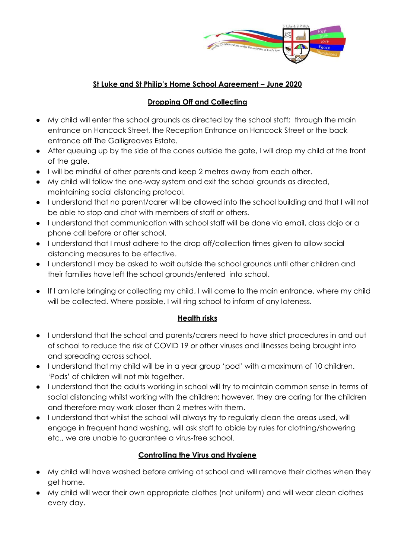

## **St Luke and St Philip's Home School Agreement – June 2020**

### **Dropping Off and Collecting**

- My child will enter the school grounds as directed by the school staff; through the main entrance on Hancock Street, the Reception Entrance on Hancock Street or the back entrance off The Galligreaves Estate.
- After queuing up by the side of the cones outside the gate, I will drop my child at the front of the gate.
- I will be mindful of other parents and keep 2 metres away from each other.
- My child will follow the one-way system and exit the school grounds as directed, maintaining social distancing protocol.
- I understand that no parent/carer will be allowed into the school building and that I will not be able to stop and chat with members of staff or others.
- I understand that communication with school staff will be done via email, class dojo or a phone call before or after school.
- I understand that I must adhere to the drop off/collection times given to allow social distancing measures to be effective.
- I understand I may be asked to wait outside the school grounds until other children and their families have left the school grounds/entered into school.
- If I am late bringing or collecting my child, I will come to the main entrance, where my child will be collected. Where possible, I will ring school to inform of any lateness.

#### **Health risks**

- I understand that the school and parents/carers need to have strict procedures in and out of school to reduce the risk of COVID 19 or other viruses and illnesses being brought into and spreading across school.
- I understand that my child will be in a year group 'pod' with a maximum of 10 children. 'Pods' of children will not mix together.
- I understand that the adults working in school will try to maintain common sense in terms of social distancing whilst working with the children; however, they are caring for the children and therefore may work closer than 2 metres with them.
- I understand that whilst the school will always try to regularly clean the areas used, will engage in frequent hand washing, will ask staff to abide by rules for clothing/showering etc., we are unable to guarantee a virus-free school.

# **Controlling the Virus and Hygiene**

- My child will have washed before arriving at school and will remove their clothes when they get home.
- My child will wear their own appropriate clothes (not uniform) and will wear clean clothes every day.